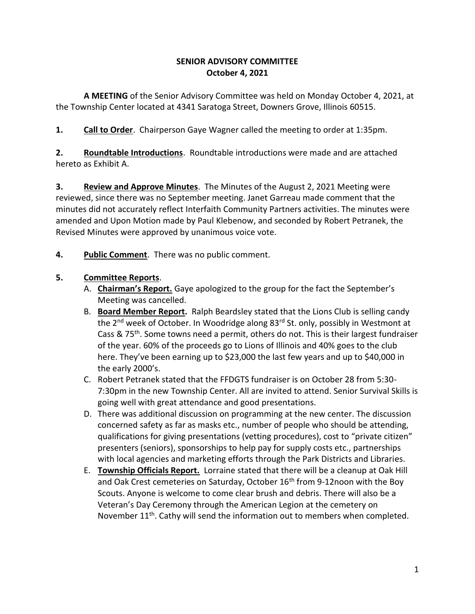### **SENIOR ADVISORY COMMITTEE October 4, 2021**

**A MEETING** of the Senior Advisory Committee was held on Monday October 4, 2021, at the Township Center located at 4341 Saratoga Street, Downers Grove, Illinois 60515.

**1. Call to Order**. Chairperson Gaye Wagner called the meeting to order at 1:35pm.

**2. Roundtable Introductions**. Roundtable introductions were made and are attached hereto as Exhibit A.

**3. Review and Approve Minutes**. The Minutes of the August 2, 2021 Meeting were reviewed, since there was no September meeting. Janet Garreau made comment that the minutes did not accurately reflect Interfaith Community Partners activities. The minutes were amended and Upon Motion made by Paul Klebenow, and seconded by Robert Petranek, the Revised Minutes were approved by unanimous voice vote.

**4. Public Comment**. There was no public comment.

# **5. Committee Reports**.

- A. **Chairman's Report.** Gaye apologized to the group for the fact the September's Meeting was cancelled.
- B. **Board Member Report.** Ralph Beardsley stated that the Lions Club is selling candy the 2<sup>nd</sup> week of October. In Woodridge along 83<sup>rd</sup> St. only, possibly in Westmont at Cass & 75<sup>th</sup>. Some towns need a permit, others do not. This is their largest fundraiser of the year. 60% of the proceeds go to Lions of Illinois and 40% goes to the club here. They've been earning up to \$23,000 the last few years and up to \$40,000 in the early 2000's.
- C. Robert Petranek stated that the FFDGTS fundraiser is on October 28 from 5:30- 7:30pm in the new Township Center. All are invited to attend. Senior Survival Skills is going well with great attendance and good presentations.
- D. There was additional discussion on programming at the new center. The discussion concerned safety as far as masks etc., number of people who should be attending, qualifications for giving presentations (vetting procedures), cost to "private citizen" presenters (seniors), sponsorships to help pay for supply costs etc., partnerships with local agencies and marketing efforts through the Park Districts and Libraries.
- E. **Township Officials Report.** Lorraine stated that there will be a cleanup at Oak Hill and Oak Crest cemeteries on Saturday, October 16<sup>th</sup> from 9-12noon with the Boy Scouts. Anyone is welcome to come clear brush and debris. There will also be a Veteran's Day Ceremony through the American Legion at the cemetery on November 11<sup>th</sup>. Cathy will send the information out to members when completed.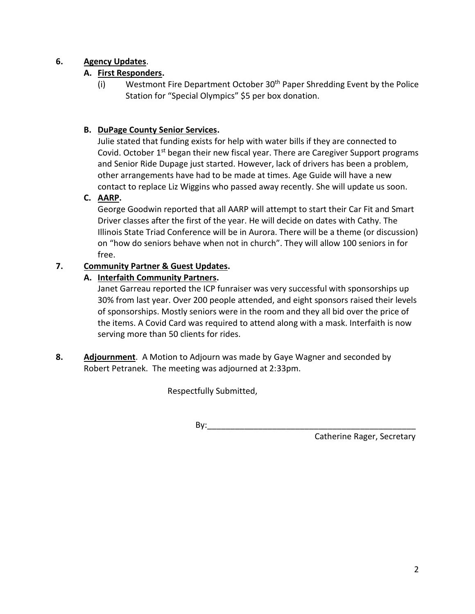### **6. Agency Updates**.

# **A. First Responders.**

(i) Westmont Fire Department October 30<sup>th</sup> Paper Shredding Event by the Police Station for "Special Olympics" \$5 per box donation.

# **B. DuPage County Senior Services.**

Julie stated that funding exists for help with water bills if they are connected to Covid. October 1<sup>st</sup> began their new fiscal year. There are Caregiver Support programs and Senior Ride Dupage just started. However, lack of drivers has been a problem, other arrangements have had to be made at times. Age Guide will have a new contact to replace Liz Wiggins who passed away recently. She will update us soon.

### **C. AARP.**

George Goodwin reported that all AARP will attempt to start their Car Fit and Smart Driver classes after the first of the year. He will decide on dates with Cathy. The Illinois State Triad Conference will be in Aurora. There will be a theme (or discussion) on "how do seniors behave when not in church". They will allow 100 seniors in for free.

### **7. Community Partner & Guest Updates.**

### **A. Interfaith Community Partners.**

Janet Garreau reported the ICP funraiser was very successful with sponsorships up 30% from last year. Over 200 people attended, and eight sponsors raised their levels of sponsorships. Mostly seniors were in the room and they all bid over the price of the items. A Covid Card was required to attend along with a mask. Interfaith is now serving more than 50 clients for rides.

**8. Adjournment**. A Motion to Adjourn was made by Gaye Wagner and seconded by Robert Petranek. The meeting was adjourned at 2:33pm.

Respectfully Submitted,

By:\_\_\_\_\_\_\_\_\_\_\_\_\_\_\_\_\_\_\_\_\_\_\_\_\_\_\_\_\_\_\_\_\_\_\_\_\_\_\_\_\_\_\_\_\_

Catherine Rager, Secretary